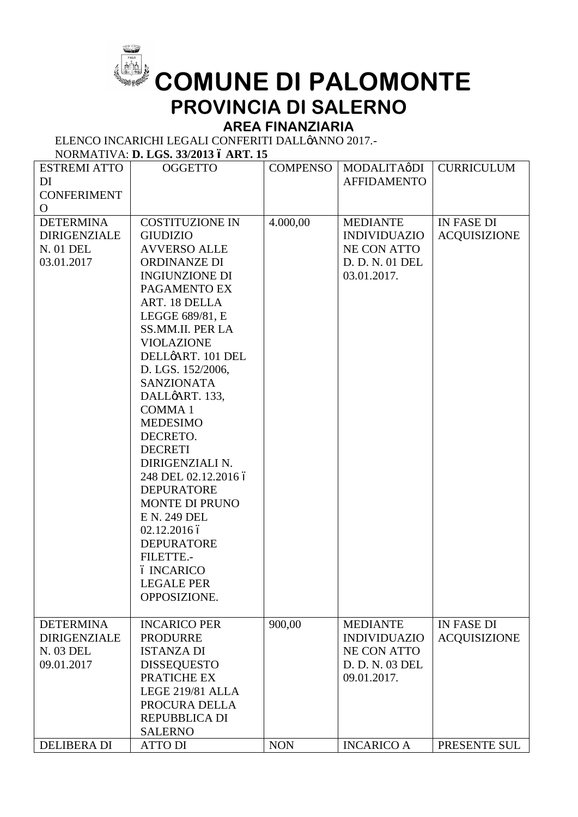

## **COMUNE DI PALOMONTE PROVINCIA DI SALERNO**

## **AREA FINANZIARIA**

ELENCO INCARICHI LEGALI CONFERITI DALLØANNO 2017.-

NORMATIVA: **D. LGS. 33/2013 – ART. 15**

| <b>ESTREMI ATTO</b> | <b>OGGETTO</b>          | <b>COMPENSO</b> | MODALITAøDI         | <b>CURRICULUM</b>   |
|---------------------|-------------------------|-----------------|---------------------|---------------------|
| DI                  |                         |                 | <b>AFFIDAMENTO</b>  |                     |
| <b>CONFERIMENT</b>  |                         |                 |                     |                     |
| $\mathbf{O}$        |                         |                 |                     |                     |
| <b>DETERMINA</b>    | <b>COSTITUZIONE IN</b>  | 4.000,00        | <b>MEDIANTE</b>     | <b>IN FASE DI</b>   |
| <b>DIRIGENZIALE</b> | <b>GIUDIZIO</b>         |                 | <b>INDIVIDUAZIO</b> | <b>ACQUISIZIONE</b> |
| N. 01 DEL           | <b>AVVERSO ALLE</b>     |                 | NE CON ATTO         |                     |
| 03.01.2017          | <b>ORDINANZE DI</b>     |                 | D. D. N. 01 DEL     |                     |
|                     | <b>INGIUNZIONE DI</b>   |                 | 03.01.2017.         |                     |
|                     | PAGAMENTO EX            |                 |                     |                     |
|                     | ART. 18 DELLA           |                 |                     |                     |
|                     | LEGGE 689/81, E         |                 |                     |                     |
|                     | <b>SS.MM.II. PER LA</b> |                 |                     |                     |
|                     | <b>VIOLAZIONE</b>       |                 |                     |                     |
|                     | DELLØART. 101 DEL       |                 |                     |                     |
|                     | D. LGS. 152/2006,       |                 |                     |                     |
|                     | <b>SANZIONATA</b>       |                 |                     |                     |
|                     | DALLøART. 133,          |                 |                     |                     |
|                     | <b>COMMA1</b>           |                 |                     |                     |
|                     | <b>MEDESIMO</b>         |                 |                     |                     |
|                     | DECRETO.                |                 |                     |                     |
|                     | <b>DECRETI</b>          |                 |                     |                     |
|                     | DIRIGENZIALI N.         |                 |                     |                     |
|                     | 248 DEL 02.12.2016 ó    |                 |                     |                     |
|                     | <b>DEPURATORE</b>       |                 |                     |                     |
|                     | <b>MONTE DI PRUNO</b>   |                 |                     |                     |
|                     | E N. 249 DEL            |                 |                     |                     |
|                     | 02.12.2016 ó            |                 |                     |                     |
|                     | <b>DEPURATORE</b>       |                 |                     |                     |
|                     | FILETTE.-               |                 |                     |                     |
|                     | ó INCARICO              |                 |                     |                     |
|                     | <b>LEGALE PER</b>       |                 |                     |                     |
|                     | OPPOSIZIONE.            |                 |                     |                     |
| <b>DETERMINA</b>    | <b>INCARICO PER</b>     | 900,00          | <b>MEDIANTE</b>     | <b>IN FASE DI</b>   |
| <b>DIRIGENZIALE</b> | <b>PRODURRE</b>         |                 | <b>INDIVIDUAZIO</b> | <b>ACQUISIZIONE</b> |
| N. 03 DEL           | <b>ISTANZA DI</b>       |                 | <b>NE CON ATTO</b>  |                     |
| 09.01.2017          | <b>DISSEQUESTO</b>      |                 | D. D. N. 03 DEL     |                     |
|                     | PRATICHE EX             |                 | 09.01.2017.         |                     |
|                     | LEGE 219/81 ALLA        |                 |                     |                     |
|                     | PROCURA DELLA           |                 |                     |                     |
|                     | <b>REPUBBLICA DI</b>    |                 |                     |                     |
|                     | <b>SALERNO</b>          |                 |                     |                     |
| <b>DELIBERA DI</b>  | <b>ATTO DI</b>          | <b>NON</b>      | <b>INCARICO A</b>   | PRESENTE SUL        |
|                     |                         |                 |                     |                     |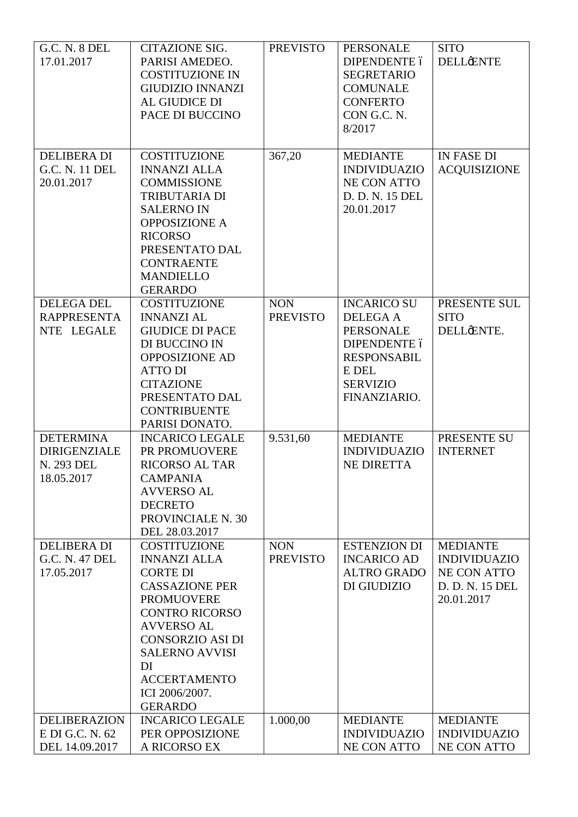| <b>G.C. N. 8 DEL</b> | <b>CITAZIONE SIG.</b>   | <b>PREVISTO</b> | <b>PERSONALE</b>    | <b>SITO</b>         |
|----------------------|-------------------------|-----------------|---------------------|---------------------|
| 17.01.2017           | PARISI AMEDEO.          |                 | DIPENDENTE ó        | <b>DELLENTE</b>     |
|                      |                         |                 |                     |                     |
|                      | <b>COSTITUZIONE IN</b>  |                 | <b>SEGRETARIO</b>   |                     |
|                      | <b>GIUDIZIO INNANZI</b> |                 | <b>COMUNALE</b>     |                     |
|                      | AL GIUDICE DI           |                 | <b>CONFERTO</b>     |                     |
|                      | PACE DI BUCCINO         |                 | CON G.C. N.         |                     |
|                      |                         |                 | 8/2017              |                     |
|                      |                         |                 |                     |                     |
| <b>DELIBERA DI</b>   | <b>COSTITUZIONE</b>     | 367,20          | <b>MEDIANTE</b>     | IN FASE DI          |
| G.C. N. 11 DEL       | <b>INNANZI ALLA</b>     |                 | <b>INDIVIDUAZIO</b> | <b>ACQUISIZIONE</b> |
| 20.01.2017           | <b>COMMISSIONE</b>      |                 | NE CON ATTO         |                     |
|                      |                         |                 |                     |                     |
|                      | <b>TRIBUTARIA DI</b>    |                 | D. D. N. 15 DEL     |                     |
|                      | <b>SALERNO IN</b>       |                 | 20.01.2017          |                     |
|                      | <b>OPPOSIZIONE A</b>    |                 |                     |                     |
|                      | <b>RICORSO</b>          |                 |                     |                     |
|                      | PRESENTATO DAL          |                 |                     |                     |
|                      | <b>CONTRAENTE</b>       |                 |                     |                     |
|                      | <b>MANDIELLO</b>        |                 |                     |                     |
|                      | <b>GERARDO</b>          |                 |                     |                     |
| <b>DELEGA DEL</b>    | <b>COSTITUZIONE</b>     | <b>NON</b>      | <b>INCARICO SU</b>  | PRESENTE SUL        |
| <b>RAPPRESENTA</b>   | <b>INNANZI AL</b>       | <b>PREVISTO</b> |                     | <b>SITO</b>         |
|                      |                         |                 | <b>DELEGA A</b>     |                     |
| NTE LEGALE           | <b>GIUDICE DI PACE</b>  |                 | <b>PERSONALE</b>    | DELLÆNTE.           |
|                      | DI BUCCINO IN           |                 | DIPENDENTE ó        |                     |
|                      | <b>OPPOSIZIONE AD</b>   |                 | <b>RESPONSABIL</b>  |                     |
|                      | <b>ATTO DI</b>          |                 | E DEL               |                     |
|                      | <b>CITAZIONE</b>        |                 | <b>SERVIZIO</b>     |                     |
|                      | PRESENTATO DAL          |                 | FINANZIARIO.        |                     |
|                      | <b>CONTRIBUENTE</b>     |                 |                     |                     |
|                      | PARISI DONATO.          |                 |                     |                     |
| <b>DETERMINA</b>     | <b>INCARICO LEGALE</b>  | 9.531,60        | <b>MEDIANTE</b>     | PRESENTE SU         |
|                      |                         |                 |                     |                     |
| <b>DIRIGENZIALE</b>  | PR PROMUOVERE           |                 | <b>INDIVIDUAZIO</b> | <b>INTERNET</b>     |
| N. 293 DEL           | <b>RICORSO AL TAR</b>   |                 | <b>NE DIRETTA</b>   |                     |
| 18.05.2017           | <b>CAMPANIA</b>         |                 |                     |                     |
|                      | <b>AVVERSO AL</b>       |                 |                     |                     |
|                      | <b>DECRETO</b>          |                 |                     |                     |
|                      | PROVINCIALE N. 30       |                 |                     |                     |
|                      | DEL 28.03.2017          |                 |                     |                     |
| <b>DELIBERA DI</b>   | <b>COSTITUZIONE</b>     | <b>NON</b>      | <b>ESTENZION DI</b> | <b>MEDIANTE</b>     |
| G.C. N. 47 DEL       | <b>INNANZI ALLA</b>     | <b>PREVISTO</b> | <b>INCARICO AD</b>  | <b>INDIVIDUAZIO</b> |
| 17.05.2017           | <b>CORTE DI</b>         |                 | <b>ALTRO GRADO</b>  | NE CON ATTO         |
|                      |                         |                 | DI GIUDIZIO         |                     |
|                      | <b>CASSAZIONE PER</b>   |                 |                     | D. D. N. 15 DEL     |
|                      | <b>PROMUOVERE</b>       |                 |                     | 20.01.2017          |
|                      | <b>CONTRO RICORSO</b>   |                 |                     |                     |
|                      | <b>AVVERSO AL</b>       |                 |                     |                     |
|                      | <b>CONSORZIO ASI DI</b> |                 |                     |                     |
|                      | <b>SALERNO AVVISI</b>   |                 |                     |                     |
|                      | DI                      |                 |                     |                     |
|                      | <b>ACCERTAMENTO</b>     |                 |                     |                     |
|                      | ICI 2006/2007.          |                 |                     |                     |
|                      | <b>GERARDO</b>          |                 |                     |                     |
| <b>DELIBERAZION</b>  | <b>INCARICO LEGALE</b>  | 1.000,00        | <b>MEDIANTE</b>     | <b>MEDIANTE</b>     |
| E DI G.C. N. 62      | PER OPPOSIZIONE         |                 | <b>INDIVIDUAZIO</b> | <b>INDIVIDUAZIO</b> |
| DEL 14.09.2017       | A RICORSO EX            |                 | <b>NE CON ATTO</b>  | NE CON ATTO         |
|                      |                         |                 |                     |                     |